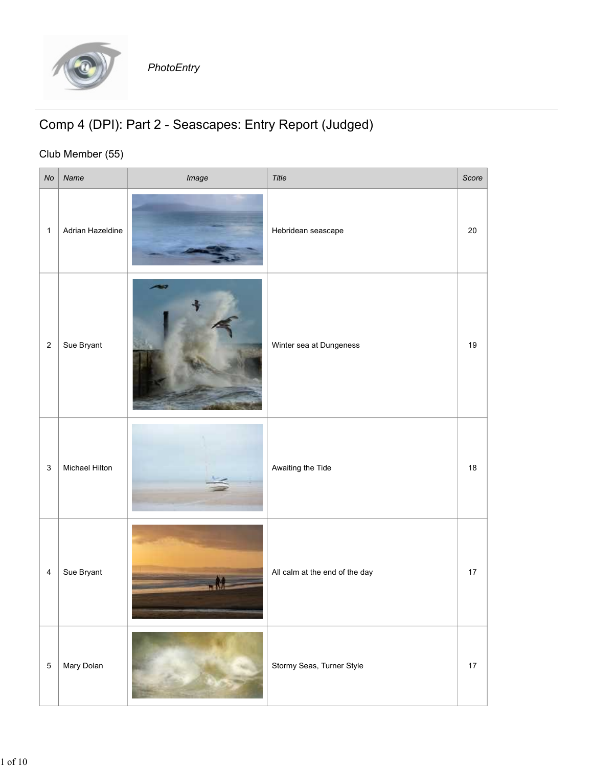

## Comp 4 (DPI): Part 2 - Seascapes: Entry Report (Judged)

## Club Member (55)

|              |                  | PhotoEntry                                              |                                |       |
|--------------|------------------|---------------------------------------------------------|--------------------------------|-------|
|              | Club Member (55) | Comp 4 (DPI): Part 2 - Seascapes: Entry Report (Judged) |                                |       |
| No           | Name             | Image                                                   | Title                          | Score |
| $\mathbf{1}$ | Adrian Hazeldine |                                                         | Hebridean seascape             | 20    |
| 2            | Sue Bryant       | - 5                                                     | Winter sea at Dungeness        | 19    |
| $\mathbf{3}$ | Michael Hilton   |                                                         | Awaiting the Tide              | 18    |
| 4            | Sue Bryant       |                                                         | All calm at the end of the day | 17    |
| $5 \mid$     | Mary Dolan       |                                                         | Stormy Seas, Turner Style      | 17    |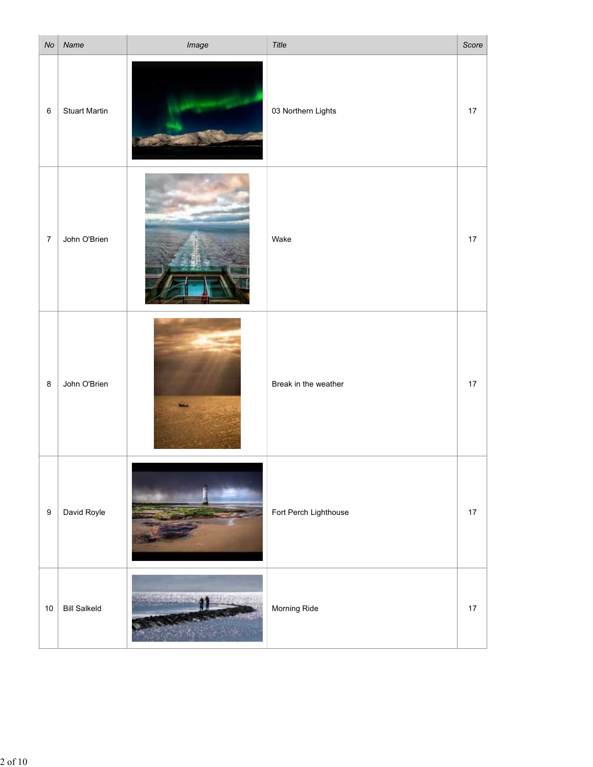| No      | Name                 | Image | Title                 | Score |
|---------|----------------------|-------|-----------------------|-------|
| $\,6\,$ | <b>Stuart Martin</b> |       | 03 Northern Lights    | 17    |
| 7       | John O'Brien         |       | Wake                  | 17    |
| 8       | John O'Brien         |       | Break in the weather  | 17    |
| 9       | David Royle          |       | Fort Perch Lighthouse | 17    |
| 10      | <b>Bill Salkeld</b>  |       | Morning Ride          | 17    |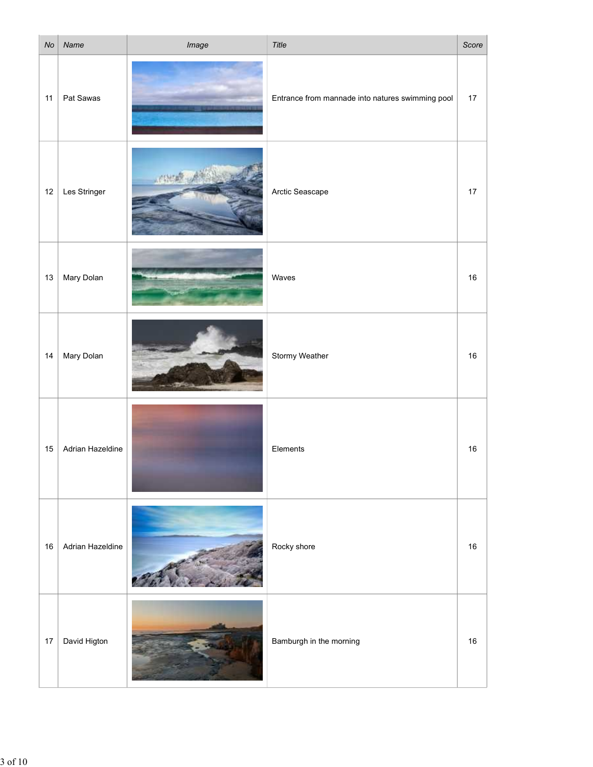| No | Name              | Image | Title                                            | Score |
|----|-------------------|-------|--------------------------------------------------|-------|
|    | 11   Pat Sawas    |       | Entrance from mannade into natures swimming pool | 17    |
|    | 12   Les Stringer | 20193 | Arctic Seascape                                  | 17    |
|    | 13   Mary Dolan   |       | Waves                                            | 16    |
|    | 14   Mary Dolan   |       | Stormy Weather                                   | 16    |
| 15 | Adrian Hazeldine  |       | Elements                                         | 16    |
| 16 | Adrian Hazeldine  |       | Rocky shore                                      | 16    |
| 17 | David Higton      |       | Bamburgh in the morning                          | 16    |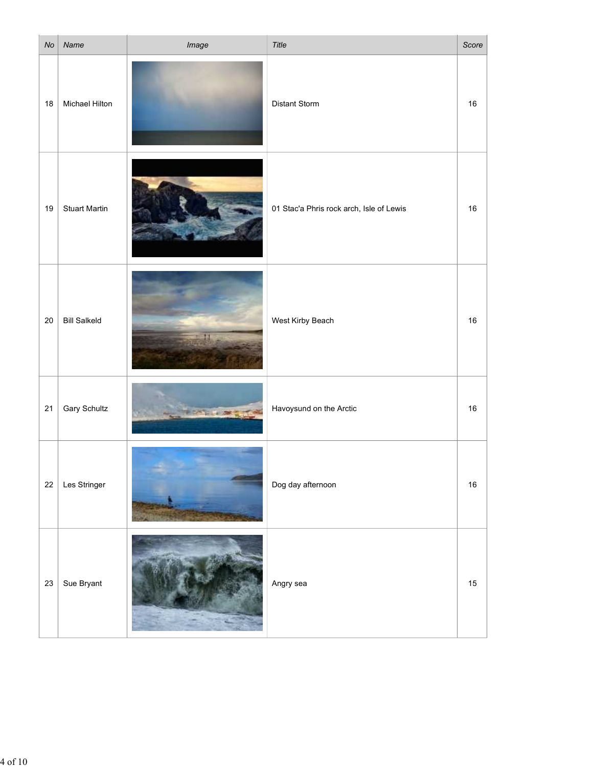| No | Name                 | Image                           | Title                                    | Score  |
|----|----------------------|---------------------------------|------------------------------------------|--------|
| 18 | Michael Hilton       |                                 | <b>Distant Storm</b>                     | 16     |
| 19 | <b>Stuart Martin</b> |                                 | 01 Stac'a Phris rock arch, Isle of Lewis | 16     |
| 20 | <b>Bill Salkeld</b>  |                                 | West Kirby Beach                         | 16     |
|    | 21 Gary Schultz      | <b><i><u>ASSESSMENT</u></i></b> | Havoysund on the Arctic                  | 16     |
|    | $22$ Les Stringer    |                                 | Dog day afternoon                        | 16     |
|    | 23   Sue Bryant      |                                 | Angry sea                                | $15\,$ |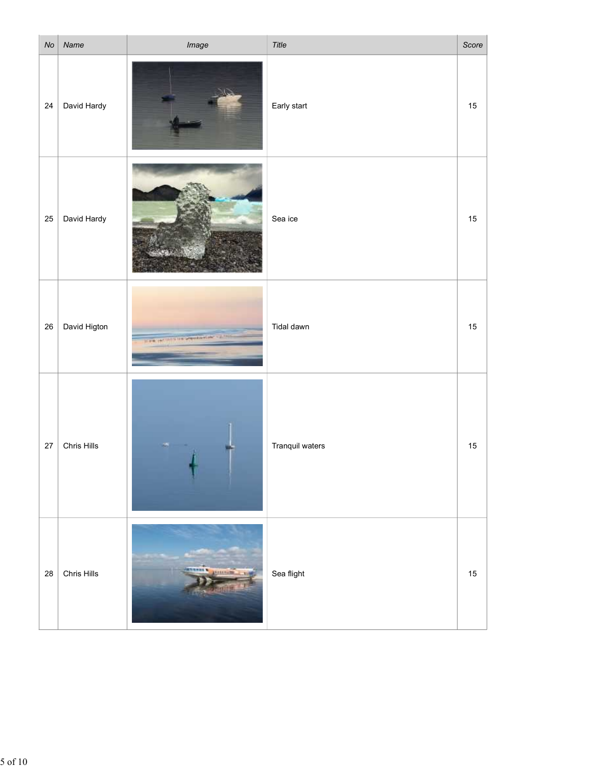| No | Name         | Image                                             | Title           | Score |
|----|--------------|---------------------------------------------------|-----------------|-------|
| 24 | David Hardy  |                                                   | Early start     | 15    |
| 25 | David Hardy  |                                                   | Sea ice         | 15    |
| 26 | David Higton | P. LEW Publishers to Act Spe.<br><b>CALL CALL</b> | Tidal dawn      | 15    |
| 27 | Chris Hills  |                                                   | Tranquil waters | 15    |
| 28 | Chris Hills  | 19991                                             | Sea flight      | 15    |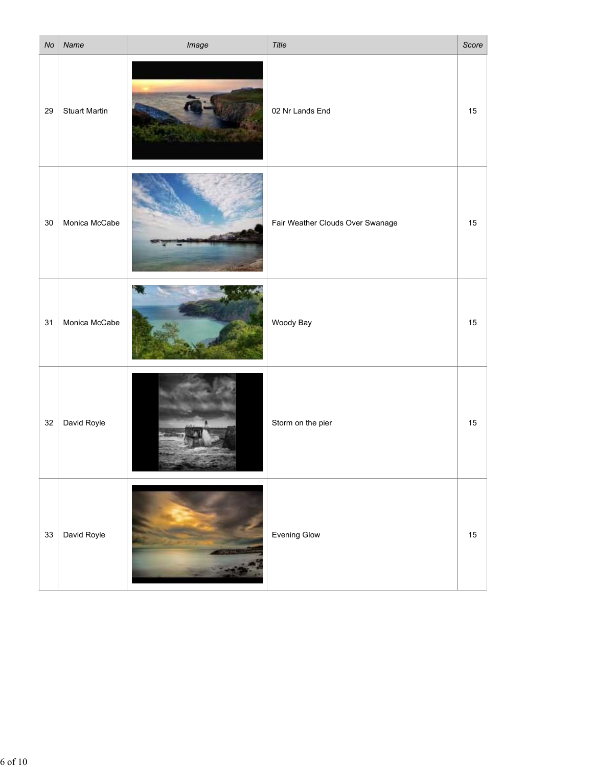| No | Name                 | Image | Title                            | Score |
|----|----------------------|-------|----------------------------------|-------|
| 29 | <b>Stuart Martin</b> |       | 02 Nr Lands End                  | 15    |
|    | 30   Monica McCabe   |       | Fair Weather Clouds Over Swanage | 15    |
| 31 | Monica McCabe        |       | Woody Bay                        | 15    |
| 32 | David Royle          |       | Storm on the pier                | 15    |
|    | 33 David Royle       |       | Evening Glow                     | 15    |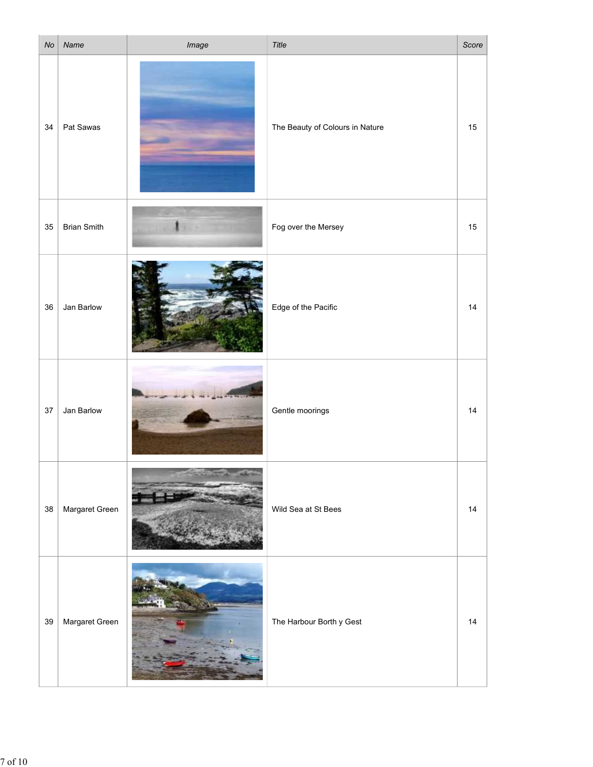| No | Name                | Image                  | Title                           | Score |
|----|---------------------|------------------------|---------------------------------|-------|
| 34 | Pat Sawas           |                        | The Beauty of Colours in Nature | 15    |
|    | $35$ Brian Smith    | ٠                      | Fog over the Mersey             | $15$  |
| 36 | Jan Barlow          |                        | Edge of the Pacific             | 14    |
| 37 | Jan Barlow          |                        | Gentle moorings                 | 14    |
| 38 | Margaret Green      |                        | Wild Sea at St Bees             | 14    |
|    | 39   Margaret Green | <b>ANGELIA ANGELIA</b> | The Harbour Borth y Gest        | 14    |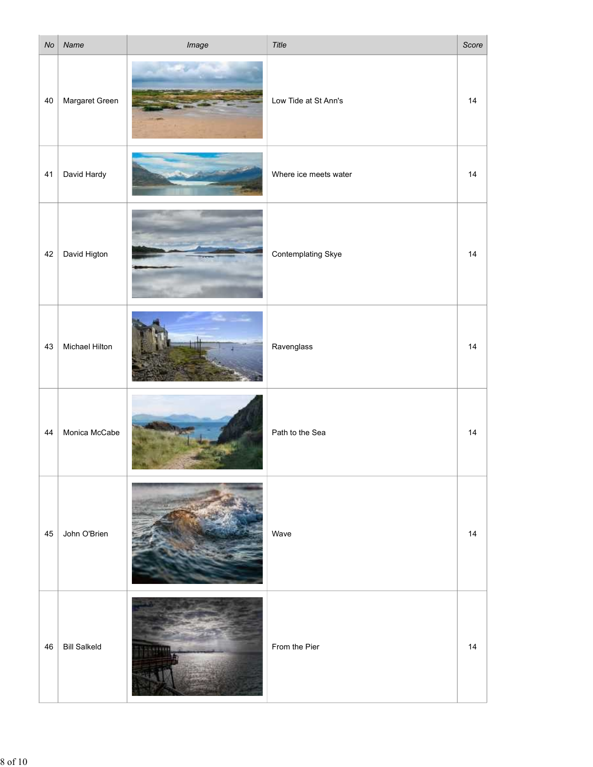| No | Name                | Image             | Title                 | Score |
|----|---------------------|-------------------|-----------------------|-------|
| 40 | Margaret Green      |                   | Low Tide at St Ann's  | 14    |
| 41 | David Hardy         |                   | Where ice meets water | 14    |
| 42 | David Higton        | <b>Contractor</b> | Contemplating Skye    | 14    |
| 43 | Michael Hilton      |                   | Ravenglass            | 14    |
| 44 | Monica McCabe       |                   | Path to the Sea       | 14    |
| 45 | John O'Brien        |                   | Wave                  | 14    |
| 46 | <b>Bill Salkeld</b> | <b>AV</b>         | From the Pier         | 14    |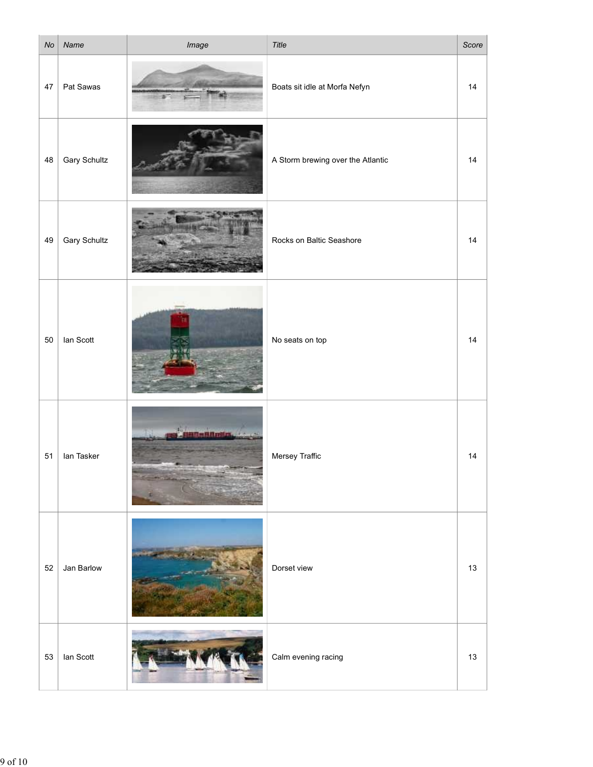| No | Name                | Image                      | Title                             | Score |
|----|---------------------|----------------------------|-----------------------------------|-------|
| 47 | Pat Sawas           |                            | Boats sit idle at Morfa Nefyn     | 14    |
| 48 | <b>Gary Schultz</b> |                            | A Storm brewing over the Atlantic | 14    |
| 49 | <b>Gary Schultz</b> |                            | Rocks on Baltic Seashore          | 14    |
| 50 | lan Scott           |                            | No seats on top                   | 14    |
| 51 | lan Tasker          | <b>Reading Contractors</b> | Mersey Traffic                    | 14    |
| 52 | Jan Barlow          |                            | Dorset view                       | 13    |
|    | $53$   Ian Scott    | LE MILIT                   | Calm evening racing               | 13    |